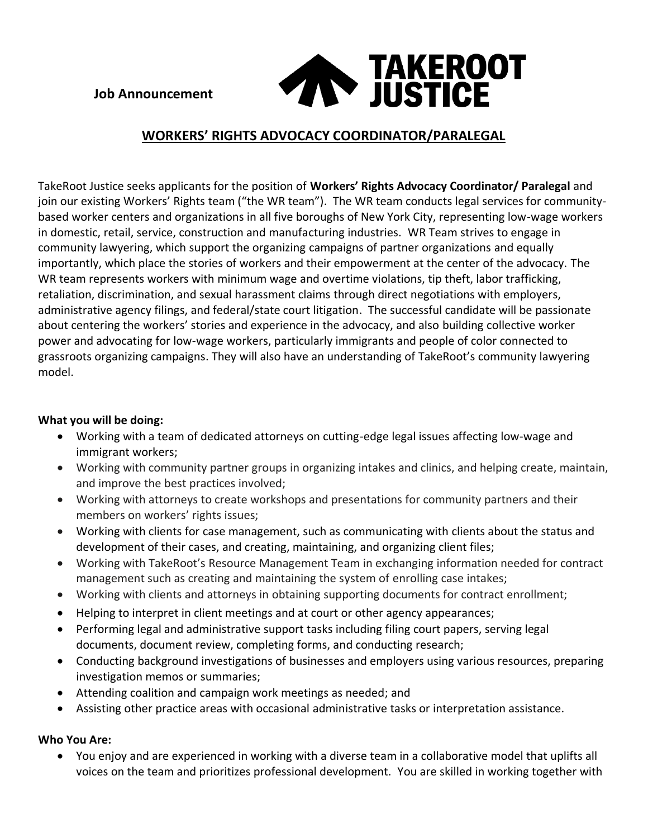**Job Announcement**



# **WORKERS' RIGHTS ADVOCACY COORDINATOR/PARALEGAL**

TakeRoot Justice seeks applicants for the position of **Workers' Rights Advocacy Coordinator/ Paralegal** and join our existing Workers' Rights team ("the WR team"). The WR team conducts legal services for communitybased worker centers and organizations in all five boroughs of New York City, representing low-wage workers in domestic, retail, service, construction and manufacturing industries. WR Team strives to engage in community lawyering, which support the organizing campaigns of partner organizations and equally importantly, which place the stories of workers and their empowerment at the center of the advocacy. The WR team represents workers with minimum wage and overtime violations, tip theft, labor trafficking, retaliation, discrimination, and sexual harassment claims through direct negotiations with employers, administrative agency filings, and federal/state court litigation. The successful candidate will be passionate about centering the workers' stories and experience in the advocacy, and also building collective worker power and advocating for low-wage workers, particularly immigrants and people of color connected to grassroots organizing campaigns. They will also have an understanding of TakeRoot's community lawyering model.

### **What you will be doing:**

- Working with a team of dedicated attorneys on cutting-edge legal issues affecting low-wage and immigrant workers;
- Working with community partner groups in organizing intakes and clinics, and helping create, maintain, and improve the best practices involved;
- Working with attorneys to create workshops and presentations for community partners and their members on workers' rights issues;
- Working with clients for case management, such as communicating with clients about the status and development of their cases, and creating, maintaining, and organizing client files;
- Working with TakeRoot's Resource Management Team in exchanging information needed for contract management such as creating and maintaining the system of enrolling case intakes;
- Working with clients and attorneys in obtaining supporting documents for contract enrollment;
- Helping to interpret in client meetings and at court or other agency appearances;
- Performing legal and administrative support tasks including filing court papers, serving legal documents, document review, completing forms, and conducting research;
- Conducting background investigations of businesses and employers using various resources, preparing investigation memos or summaries;
- Attending coalition and campaign work meetings as needed; and
- Assisting other practice areas with occasional administrative tasks or interpretation assistance.

### **Who You Are:**

• You enjoy and are experienced in working with a diverse team in a collaborative model that uplifts all voices on the team and prioritizes professional development. You are skilled in working together with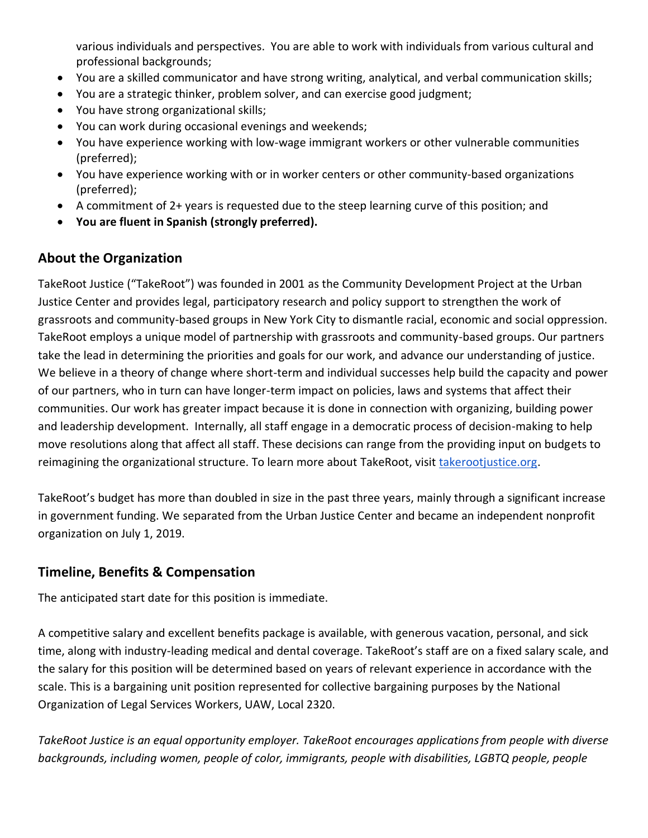various individuals and perspectives. You are able to work with individuals from various cultural and professional backgrounds;

- You are a skilled communicator and have strong writing, analytical, and verbal communication skills;
- You are a strategic thinker, problem solver, and can exercise good judgment;
- You have strong organizational skills;
- You can work during occasional evenings and weekends;
- You have experience working with low-wage immigrant workers or other vulnerable communities (preferred);
- You have experience working with or in worker centers or other community-based organizations (preferred);
- A commitment of 2+ years is requested due to the steep learning curve of this position; and
- **You are fluent in Spanish (strongly preferred).**

### **About the Organization**

TakeRoot Justice ("TakeRoot") was founded in 2001 as the Community Development Project at the Urban Justice Center and provides legal, participatory research and policy support to strengthen the work of grassroots and community-based groups in New York City to dismantle racial, economic and social oppression. TakeRoot employs a unique model of partnership with grassroots and community-based groups. Our partners take the lead in determining the priorities and goals for our work, and advance our understanding of justice. We believe in a theory of change where short-term and individual successes help build the capacity and power of our partners, who in turn can have longer-term impact on policies, laws and systems that affect their communities. Our work has greater impact because it is done in connection with organizing, building power and leadership development. Internally, all staff engage in a democratic process of decision-making to help move resolutions along that affect all staff. These decisions can range from the providing input on budgets to reimagining the organizational structure. To learn more about TakeRoot, visit [takerootjustice.org.](http://takerootjustice.org/)

TakeRoot's budget has more than doubled in size in the past three years, mainly through a significant increase in government funding. We separated from the Urban Justice Center and became an independent nonprofit organization on July 1, 2019.

# **Timeline, Benefits & Compensation**

The anticipated start date for this position is immediate.

A competitive salary and excellent benefits package is available, with generous vacation, personal, and sick time, along with industry-leading medical and dental coverage. TakeRoot's staff are on a fixed salary scale, and the salary for this position will be determined based on years of relevant experience in accordance with the scale. This is a bargaining unit position represented for collective bargaining purposes by the National Organization of Legal Services Workers, UAW, Local 2320.

*TakeRoot Justice is an equal opportunity employer. TakeRoot encourages applications from people with diverse backgrounds, including women, people of color, immigrants, people with disabilities, LGBTQ people, people*